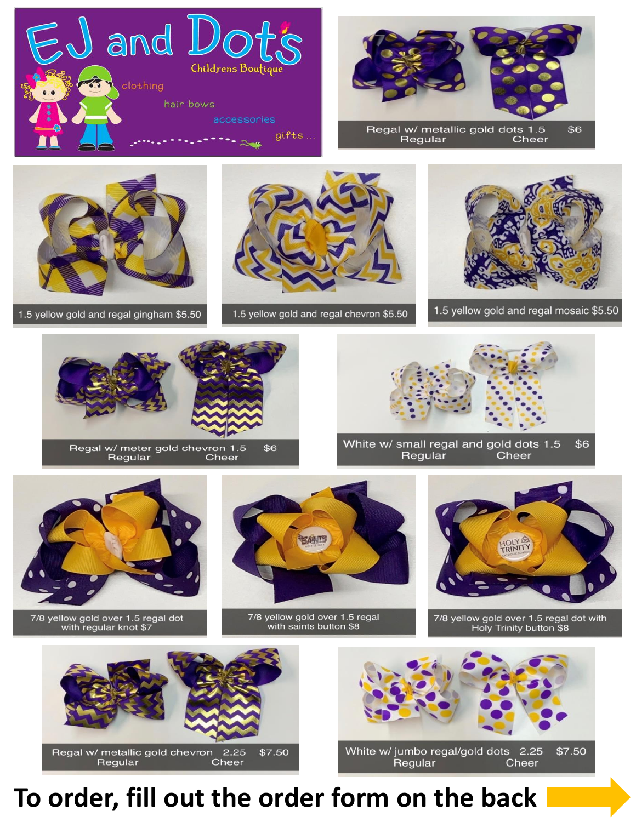



Regular Cheer



1.5 yellow gold and regal gingham \$5.50



1.5 yellow gold and regal chevron \$5.50



1.5 yellow gold and regal mosaic \$5.50



Regal w/ meter gold chevron 1.5 \$6 Regular Cheer



White w/ small regal and gold dots 1.5 \$6 Regular Cheer



7/8 yellow gold over 1.5 regal dot with regular knot \$7



7/8 yellow gold over 1.5 regal with saints button \$8



7/8 yellow gold over 1.5 regal dot with Holy Trinity button \$8



Regal w/ metallic gold chevron 2.25<br>Regular Cheer \$7.50



Regular Cheer

## To order, fill out the order form on the back